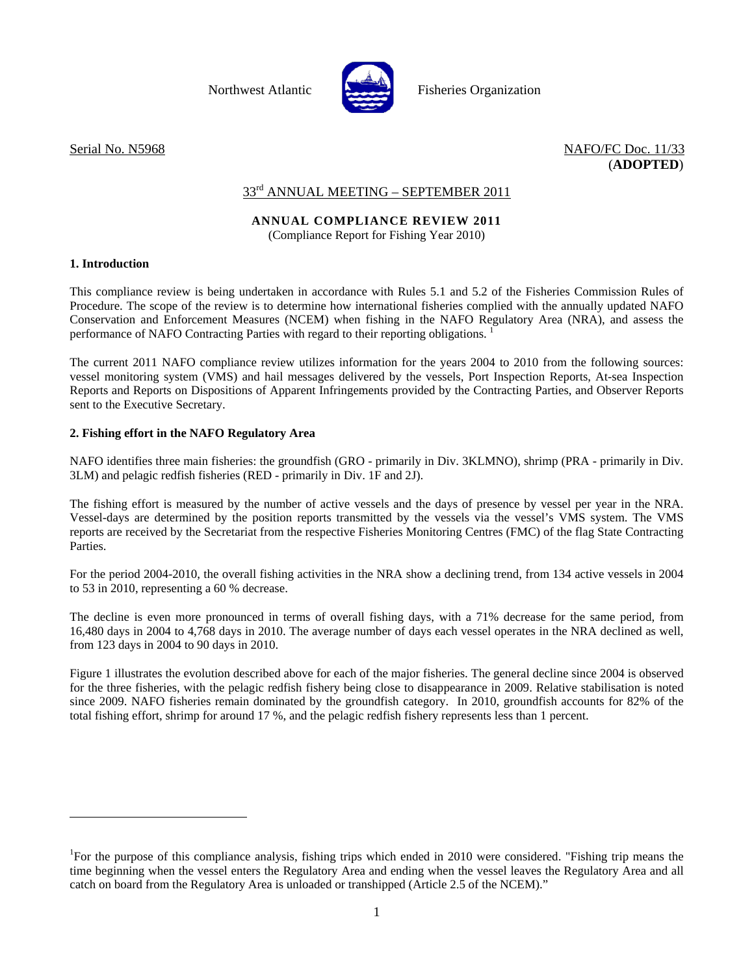

Northwest Atlantic **Report Fisheries Organization** 

Serial No. N5968 NAFO/FC Doc. 11/33 (**ADOPTED**)

# 33<sup>rd</sup> ANNUAL MEETING – SEPTEMBER 2011

# **ANNUAL COMPLIANCE REVIEW 2011**

(Compliance Report for Fishing Year 2010)

## **1. Introduction**

l

This compliance review is being undertaken in accordance with Rules 5.1 and 5.2 of the Fisheries Commission Rules of Procedure. The scope of the review is to determine how international fisheries complied with the annually updated NAFO Conservation and Enforcement Measures (NCEM) when fishing in the NAFO Regulatory Area (NRA), and assess the performance of NAFO Contracting Parties with regard to their reporting obligations.<sup>1</sup>

The current 2011 NAFO compliance review utilizes information for the years 2004 to 2010 from the following sources: vessel monitoring system (VMS) and hail messages delivered by the vessels, Port Inspection Reports, At-sea Inspection Reports and Reports on Dispositions of Apparent Infringements provided by the Contracting Parties, and Observer Reports sent to the Executive Secretary.

## **2. Fishing effort in the NAFO Regulatory Area**

NAFO identifies three main fisheries: the groundfish (GRO - primarily in Div. 3KLMNO), shrimp (PRA - primarily in Div. 3LM) and pelagic redfish fisheries (RED - primarily in Div. 1F and 2J).

The fishing effort is measured by the number of active vessels and the days of presence by vessel per year in the NRA. Vessel-days are determined by the position reports transmitted by the vessels via the vessel's VMS system. The VMS reports are received by the Secretariat from the respective Fisheries Monitoring Centres (FMC) of the flag State Contracting Parties.

For the period 2004-2010, the overall fishing activities in the NRA show a declining trend, from 134 active vessels in 2004 to 53 in 2010, representing a 60 % decrease.

The decline is even more pronounced in terms of overall fishing days, with a 71% decrease for the same period, from 16,480 days in 2004 to 4,768 days in 2010. The average number of days each vessel operates in the NRA declined as well, from 123 days in 2004 to 90 days in 2010.

Figure 1 illustrates the evolution described above for each of the major fisheries. The general decline since 2004 is observed for the three fisheries, with the pelagic redfish fishery being close to disappearance in 2009. Relative stabilisation is noted since 2009. NAFO fisheries remain dominated by the groundfish category. In 2010, groundfish accounts for 82% of the total fishing effort, shrimp for around 17 %, and the pelagic redfish fishery represents less than 1 percent.

<sup>&</sup>lt;sup>1</sup>For the purpose of this compliance analysis, fishing trips which ended in 2010 were considered. "Fishing trip means the time beginning when the vessel enters the Regulatory Area and ending when the vessel leaves the Regulatory Area and all catch on board from the Regulatory Area is unloaded or transhipped (Article 2.5 of the NCEM)."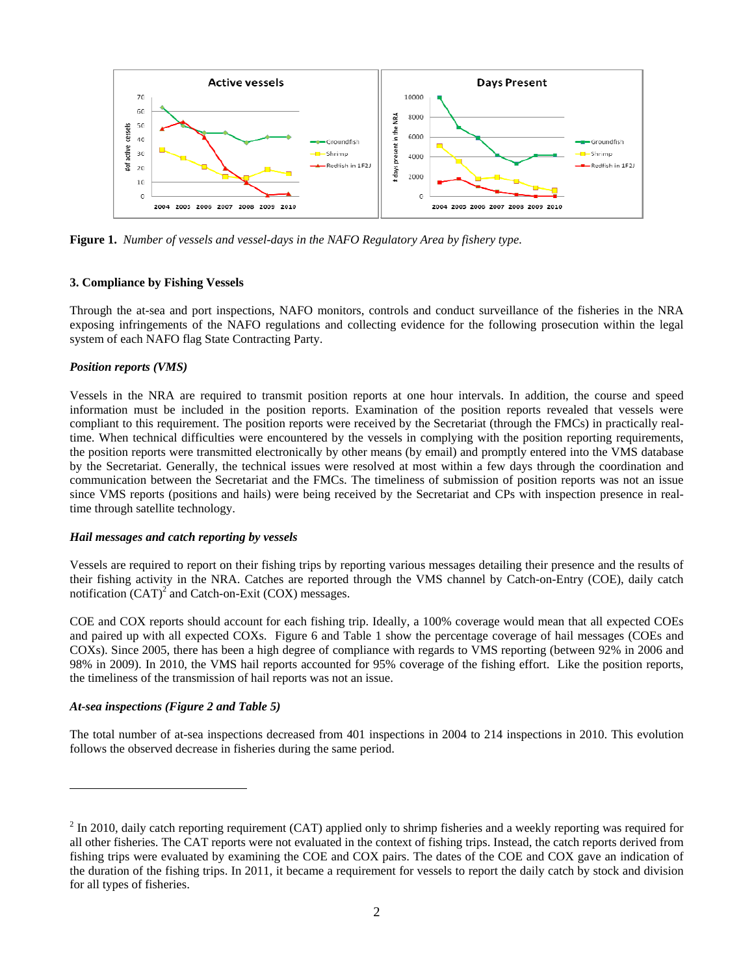

**Figure 1.** *Number of vessels and vessel-days in the NAFO Regulatory Area by fishery type.* 

#### **3. Compliance by Fishing Vessels**

Through the at-sea and port inspections, NAFO monitors, controls and conduct surveillance of the fisheries in the NRA exposing infringements of the NAFO regulations and collecting evidence for the following prosecution within the legal system of each NAFO flag State Contracting Party.

#### *Position reports (VMS)*

Vessels in the NRA are required to transmit position reports at one hour intervals. In addition, the course and speed information must be included in the position reports. Examination of the position reports revealed that vessels were compliant to this requirement. The position reports were received by the Secretariat (through the FMCs) in practically realtime. When technical difficulties were encountered by the vessels in complying with the position reporting requirements, the position reports were transmitted electronically by other means (by email) and promptly entered into the VMS database by the Secretariat. Generally, the technical issues were resolved at most within a few days through the coordination and communication between the Secretariat and the FMCs. The timeliness of submission of position reports was not an issue since VMS reports (positions and hails) were being received by the Secretariat and CPs with inspection presence in realtime through satellite technology.

#### *Hail messages and catch reporting by vessels*

Vessels are required to report on their fishing trips by reporting various messages detailing their presence and the results of their fishing activity in the NRA. Catches are reported through the VMS channel by Catch-on-Entry (COE), daily catch notification  $(CAT)^2$  and Catch-on-Exit  $(COX)$  messages.

COE and COX reports should account for each fishing trip. Ideally, a 100% coverage would mean that all expected COEs and paired up with all expected COXs. Figure 6 and Table 1 show the percentage coverage of hail messages (COEs and COXs). Since 2005, there has been a high degree of compliance with regards to VMS reporting (between 92% in 2006 and 98% in 2009). In 2010, the VMS hail reports accounted for 95% coverage of the fishing effort. Like the position reports, the timeliness of the transmission of hail reports was not an issue.

#### *At-sea inspections (Figure 2 and Table 5)*

l

The total number of at-sea inspections decreased from 401 inspections in 2004 to 214 inspections in 2010. This evolution follows the observed decrease in fisheries during the same period.

 $2$  In 2010, daily catch reporting requirement (CAT) applied only to shrimp fisheries and a weekly reporting was required for all other fisheries. The CAT reports were not evaluated in the context of fishing trips. Instead, the catch reports derived from fishing trips were evaluated by examining the COE and COX pairs. The dates of the COE and COX gave an indication of the duration of the fishing trips. In 2011, it became a requirement for vessels to report the daily catch by stock and division for all types of fisheries.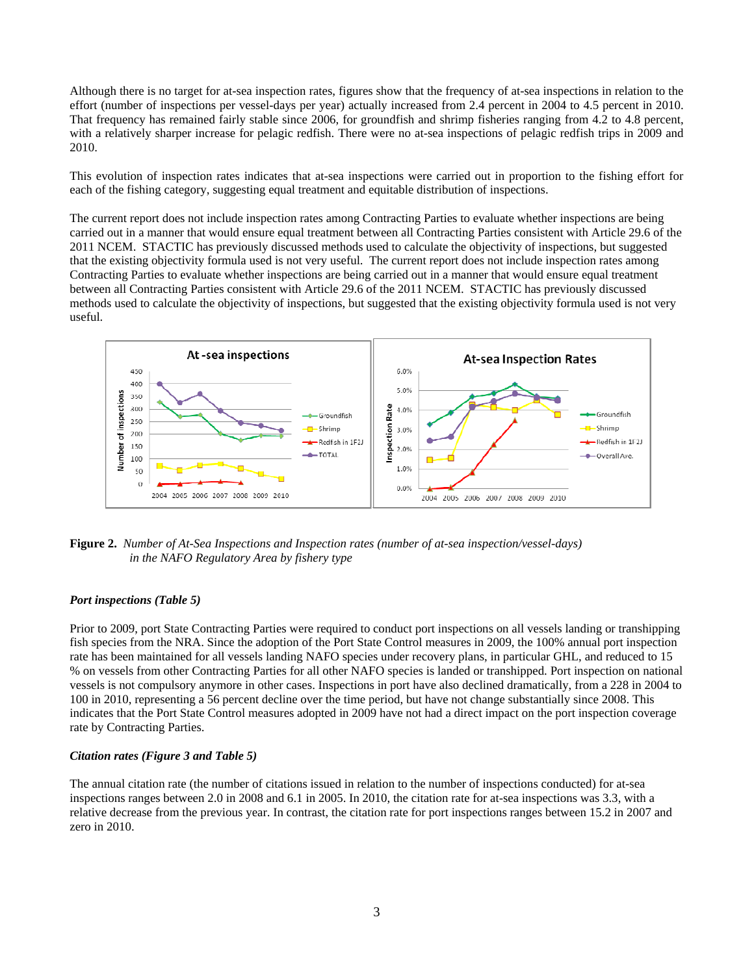Although there is no target for at-sea inspection rates, figures show that the frequency of at-sea inspections in relation to the effort (number of inspections per vessel-days per year) actually increased from 2.4 percent in 2004 to 4.5 percent in 2010. That frequency has remained fairly stable since 2006, for groundfish and shrimp fisheries ranging from 4.2 to 4.8 percent, with a relatively sharper increase for pelagic redfish. There were no at-sea inspections of pelagic redfish trips in 2009 and 2010.

This evolution of inspection rates indicates that at-sea inspections were carried out in proportion to the fishing effort for each of the fishing category, suggesting equal treatment and equitable distribution of inspections.

The current report does not include inspection rates among Contracting Parties to evaluate whether inspections are being carried out in a manner that would ensure equal treatment between all Contracting Parties consistent with Article 29.6 of the 2011 NCEM. STACTIC has previously discussed methods used to calculate the objectivity of inspections, but suggested that the existing objectivity formula used is not very useful. The current report does not include inspection rates among Contracting Parties to evaluate whether inspections are being carried out in a manner that would ensure equal treatment between all Contracting Parties consistent with Article 29.6 of the 2011 NCEM. STACTIC has previously discussed methods used to calculate the objectivity of inspections, but suggested that the existing objectivity formula used is not very useful.



**Figure 2.** *Number of At-Sea Inspections and Inspection rates (number of at-sea inspection/vessel-days) in the NAFO Regulatory Area by fishery type* 

#### *Port inspections (Table 5)*

Prior to 2009, port State Contracting Parties were required to conduct port inspections on all vessels landing or transhipping fish species from the NRA. Since the adoption of the Port State Control measures in 2009, the 100% annual port inspection rate has been maintained for all vessels landing NAFO species under recovery plans, in particular GHL, and reduced to 15 % on vessels from other Contracting Parties for all other NAFO species is landed or transhipped. Port inspection on national vessels is not compulsory anymore in other cases. Inspections in port have also declined dramatically, from a 228 in 2004 to 100 in 2010, representing a 56 percent decline over the time period, but have not change substantially since 2008. This indicates that the Port State Control measures adopted in 2009 have not had a direct impact on the port inspection coverage rate by Contracting Parties.

#### *Citation rates (Figure 3 and Table 5)*

The annual citation rate (the number of citations issued in relation to the number of inspections conducted) for at-sea inspections ranges between 2.0 in 2008 and 6.1 in 2005. In 2010, the citation rate for at-sea inspections was 3.3, with a relative decrease from the previous year. In contrast, the citation rate for port inspections ranges between 15.2 in 2007 and zero in 2010.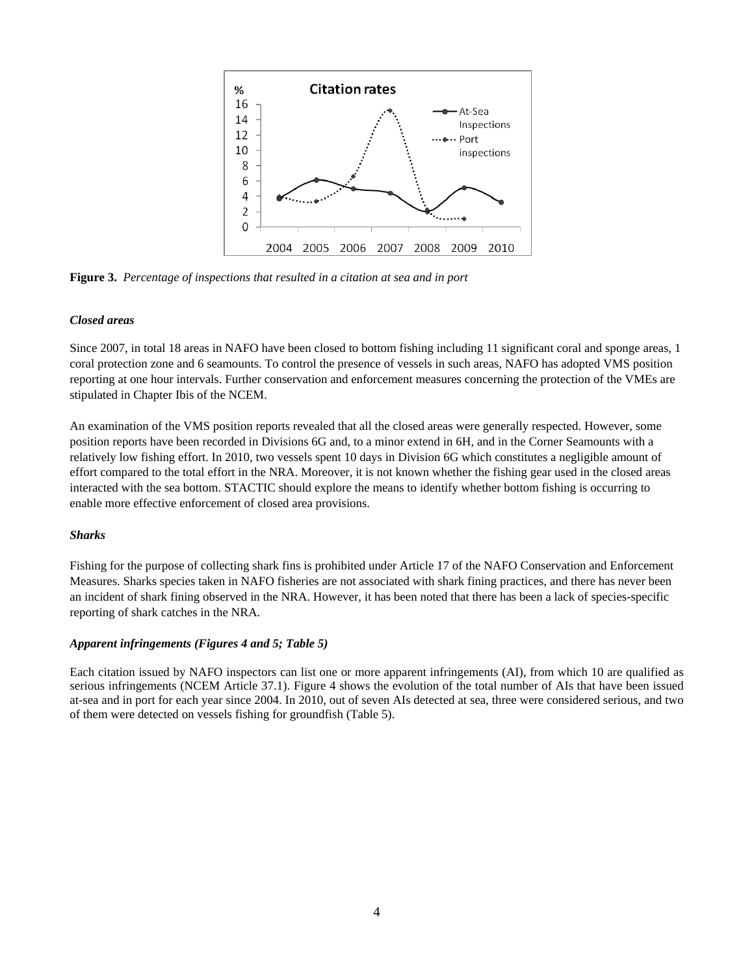

**Figure 3.** *Percentage of inspections that resulted in a citation at sea and in port* 

#### *Closed areas*

Since 2007, in total 18 areas in NAFO have been closed to bottom fishing including 11 significant coral and sponge areas, 1 coral protection zone and 6 seamounts. To control the presence of vessels in such areas, NAFO has adopted VMS position reporting at one hour intervals. Further conservation and enforcement measures concerning the protection of the VMEs are stipulated in Chapter Ibis of the NCEM.

An examination of the VMS position reports revealed that all the closed areas were generally respected. However, some position reports have been recorded in Divisions 6G and, to a minor extend in 6H, and in the Corner Seamounts with a relatively low fishing effort. In 2010, two vessels spent 10 days in Division 6G which constitutes a negligible amount of effort compared to the total effort in the NRA. Moreover, it is not known whether the fishing gear used in the closed areas interacted with the sea bottom. STACTIC should explore the means to identify whether bottom fishing is occurring to enable more effective enforcement of closed area provisions.

#### *Sharks*

Fishing for the purpose of collecting shark fins is prohibited under Article 17 of the NAFO Conservation and Enforcement Measures. Sharks species taken in NAFO fisheries are not associated with shark fining practices, and there has never been an incident of shark fining observed in the NRA. However, it has been noted that there has been a lack of species-specific reporting of shark catches in the NRA.

#### *Apparent infringements (Figures 4 and 5; Table 5)*

Each citation issued by NAFO inspectors can list one or more apparent infringements (AI), from which 10 are qualified as serious infringements (NCEM Article 37.1). Figure 4 shows the evolution of the total number of AIs that have been issued at-sea and in port for each year since 2004. In 2010, out of seven AIs detected at sea, three were considered serious, and two of them were detected on vessels fishing for groundfish (Table 5).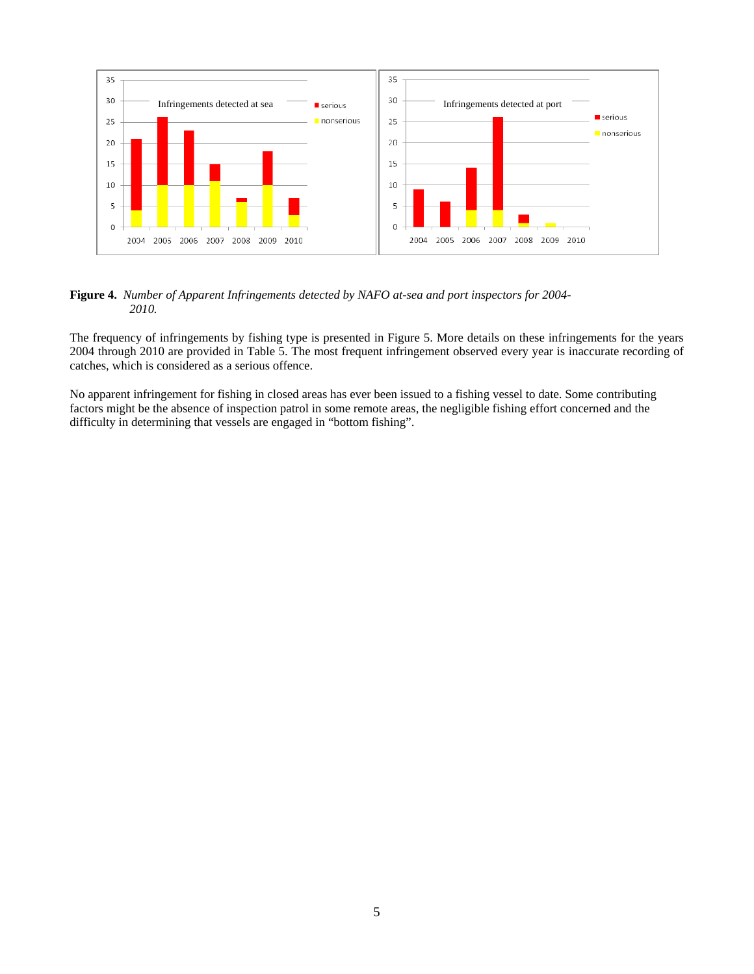

**Figure 4.** *Number of Apparent Infringements detected by NAFO at-sea and port inspectors for 2004- 2010.* 

The frequency of infringements by fishing type is presented in Figure 5. More details on these infringements for the years 2004 through 2010 are provided in Table 5. The most frequent infringement observed every year is inaccurate recording of catches, which is considered as a serious offence.

No apparent infringement for fishing in closed areas has ever been issued to a fishing vessel to date. Some contributing factors might be the absence of inspection patrol in some remote areas, the negligible fishing effort concerned and the difficulty in determining that vessels are engaged in "bottom fishing".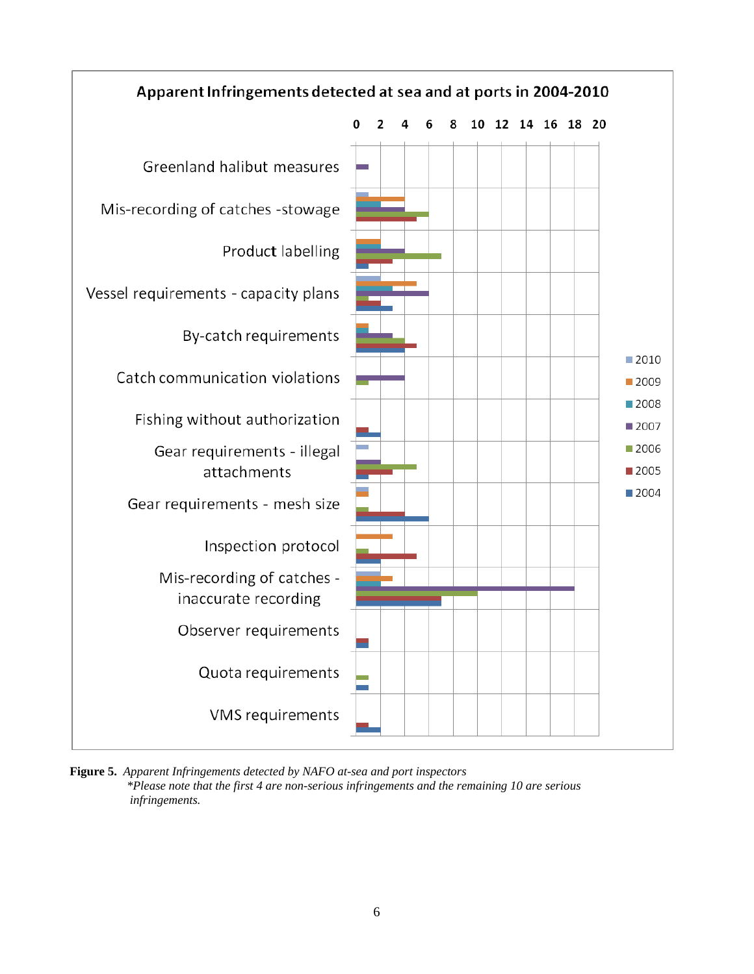

**Figure 5.** *Apparent Infringements detected by NAFO at-sea and port inspectors \*Please note that the first 4 are non-serious infringements and the remaining 10 are serious infringements.*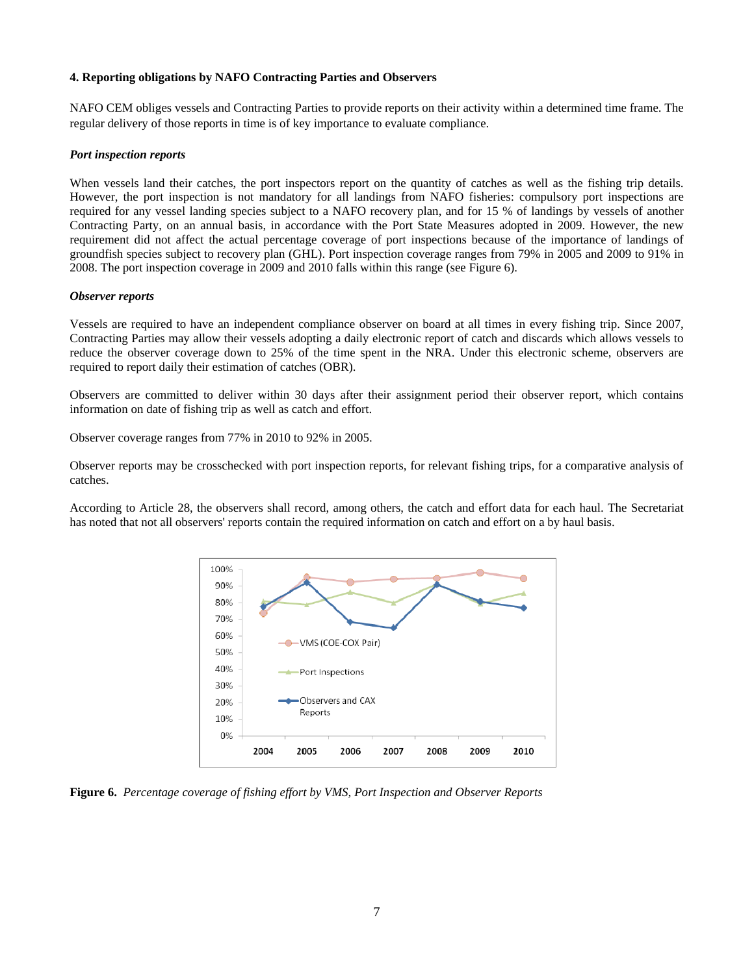#### **4. Reporting obligations by NAFO Contracting Parties and Observers**

NAFO CEM obliges vessels and Contracting Parties to provide reports on their activity within a determined time frame. The regular delivery of those reports in time is of key importance to evaluate compliance.

#### *Port inspection reports*

When vessels land their catches, the port inspectors report on the quantity of catches as well as the fishing trip details. However, the port inspection is not mandatory for all landings from NAFO fisheries: compulsory port inspections are required for any vessel landing species subject to a NAFO recovery plan, and for 15 % of landings by vessels of another Contracting Party, on an annual basis, in accordance with the Port State Measures adopted in 2009. However, the new requirement did not affect the actual percentage coverage of port inspections because of the importance of landings of groundfish species subject to recovery plan (GHL). Port inspection coverage ranges from 79% in 2005 and 2009 to 91% in 2008. The port inspection coverage in 2009 and 2010 falls within this range (see Figure 6).

#### *Observer reports*

Vessels are required to have an independent compliance observer on board at all times in every fishing trip. Since 2007, Contracting Parties may allow their vessels adopting a daily electronic report of catch and discards which allows vessels to reduce the observer coverage down to 25% of the time spent in the NRA. Under this electronic scheme, observers are required to report daily their estimation of catches (OBR).

Observers are committed to deliver within 30 days after their assignment period their observer report, which contains information on date of fishing trip as well as catch and effort.

Observer coverage ranges from 77% in 2010 to 92% in 2005.

Observer reports may be crosschecked with port inspection reports, for relevant fishing trips, for a comparative analysis of catches.

According to Article 28, the observers shall record, among others, the catch and effort data for each haul. The Secretariat has noted that not all observers' reports contain the required information on catch and effort on a by haul basis.



**Figure 6.** *Percentage coverage of fishing effort by VMS, Port Inspection and Observer Reports*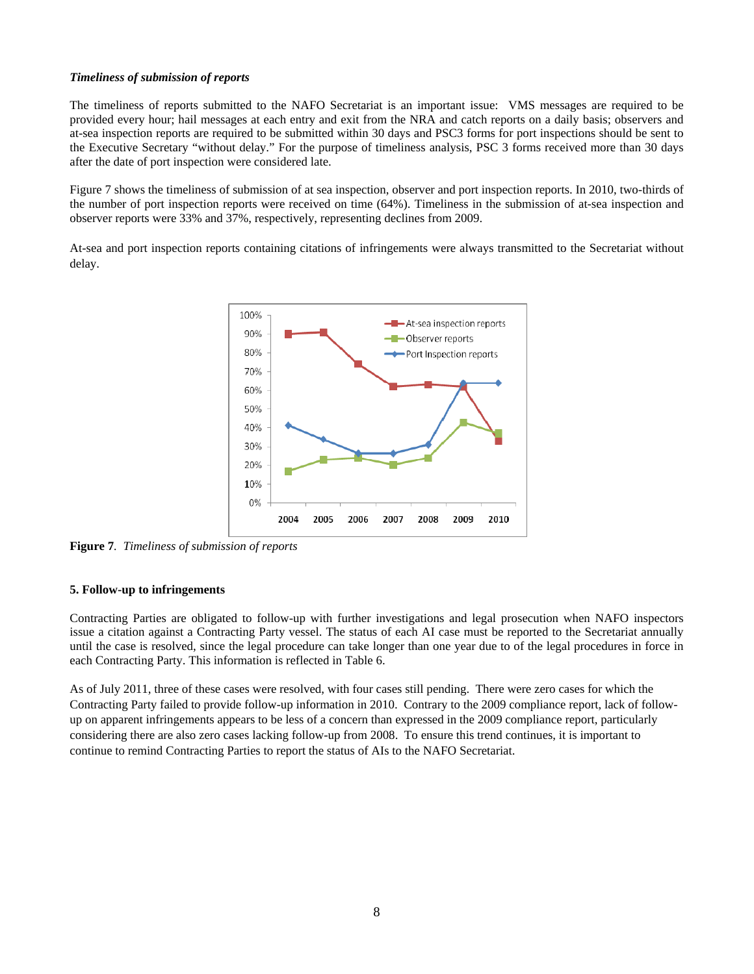#### *Timeliness of submission of reports*

The timeliness of reports submitted to the NAFO Secretariat is an important issue: VMS messages are required to be provided every hour; hail messages at each entry and exit from the NRA and catch reports on a daily basis; observers and at-sea inspection reports are required to be submitted within 30 days and PSC3 forms for port inspections should be sent to the Executive Secretary "without delay." For the purpose of timeliness analysis, PSC 3 forms received more than 30 days after the date of port inspection were considered late.

Figure 7 shows the timeliness of submission of at sea inspection, observer and port inspection reports. In 2010, two-thirds of the number of port inspection reports were received on time (64%). Timeliness in the submission of at-sea inspection and observer reports were 33% and 37%, respectively, representing declines from 2009.

At-sea and port inspection reports containing citations of infringements were always transmitted to the Secretariat without delay.



**Figure 7***. Timeliness of submission of reports* 

#### **5. Follow-up to infringements**

Contracting Parties are obligated to follow-up with further investigations and legal prosecution when NAFO inspectors issue a citation against a Contracting Party vessel. The status of each AI case must be reported to the Secretariat annually until the case is resolved, since the legal procedure can take longer than one year due to of the legal procedures in force in each Contracting Party. This information is reflected in Table 6.

As of July 2011, three of these cases were resolved, with four cases still pending. There were zero cases for which the Contracting Party failed to provide follow-up information in 2010. Contrary to the 2009 compliance report, lack of followup on apparent infringements appears to be less of a concern than expressed in the 2009 compliance report, particularly considering there are also zero cases lacking follow-up from 2008. To ensure this trend continues, it is important to continue to remind Contracting Parties to report the status of AIs to the NAFO Secretariat.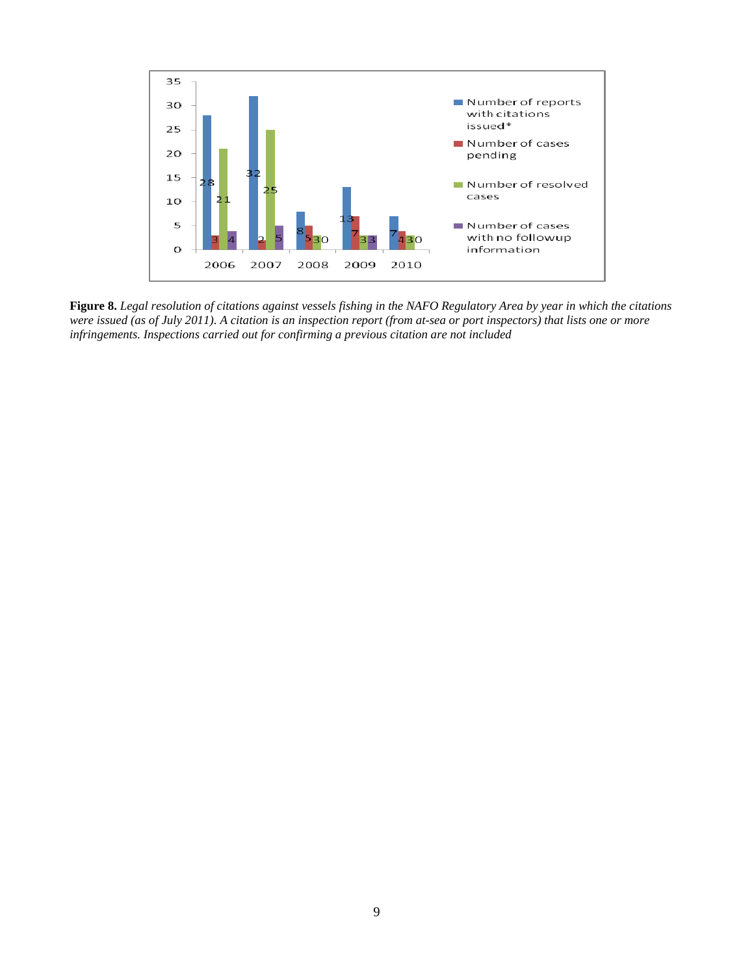

**Figure 8.** *Legal resolution of citations against vessels fishing in the NAFO Regulatory Area by year in which the citations were issued (as of July 2011). A citation is an inspection report (from at-sea or port inspectors) that lists one or more infringements. Inspections carried out for confirming a previous citation are not included*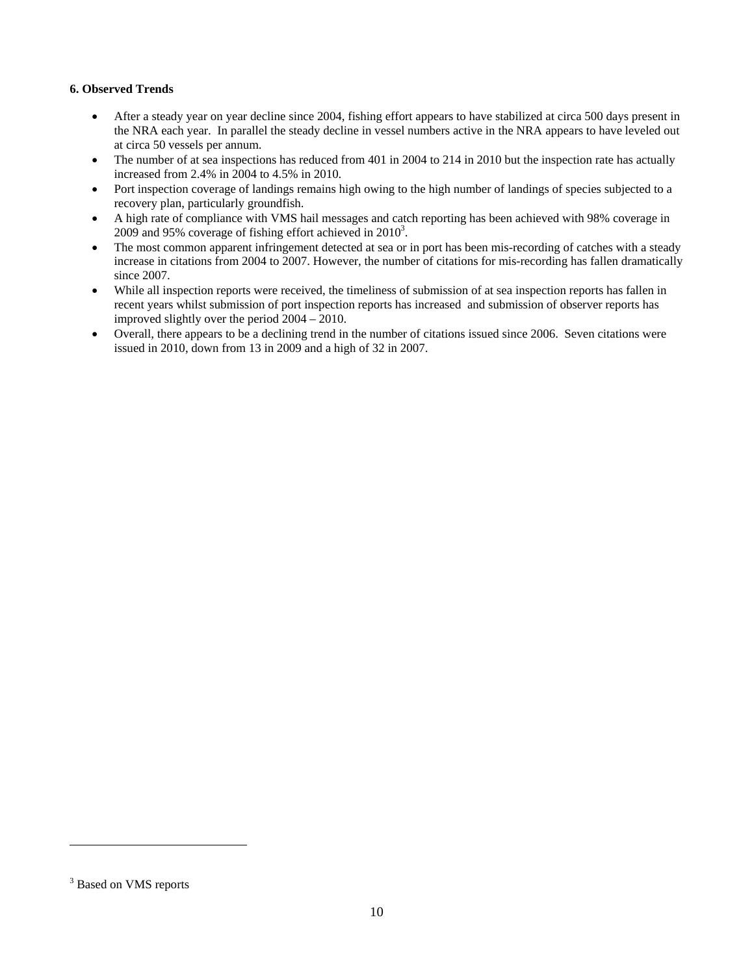## **6. Observed Trends**

- After a steady year on year decline since 2004, fishing effort appears to have stabilized at circa 500 days present in the NRA each year. In parallel the steady decline in vessel numbers active in the NRA appears to have leveled out at circa 50 vessels per annum.
- The number of at sea inspections has reduced from 401 in 2004 to 214 in 2010 but the inspection rate has actually increased from 2.4% in 2004 to 4.5% in 2010.
- Port inspection coverage of landings remains high owing to the high number of landings of species subjected to a recovery plan, particularly groundfish.
- A high rate of compliance with VMS hail messages and catch reporting has been achieved with 98% coverage in 2009 and 95% coverage of fishing effort achieved in  $2010^3$ .
- The most common apparent infringement detected at sea or in port has been mis-recording of catches with a steady increase in citations from 2004 to 2007. However, the number of citations for mis-recording has fallen dramatically since 2007.
- While all inspection reports were received, the timeliness of submission of at sea inspection reports has fallen in recent years whilst submission of port inspection reports has increased and submission of observer reports has improved slightly over the period 2004 – 2010.
- Overall, there appears to be a declining trend in the number of citations issued since 2006. Seven citations were issued in 2010, down from 13 in 2009 and a high of 32 in 2007.

l

<sup>&</sup>lt;sup>3</sup> Based on VMS reports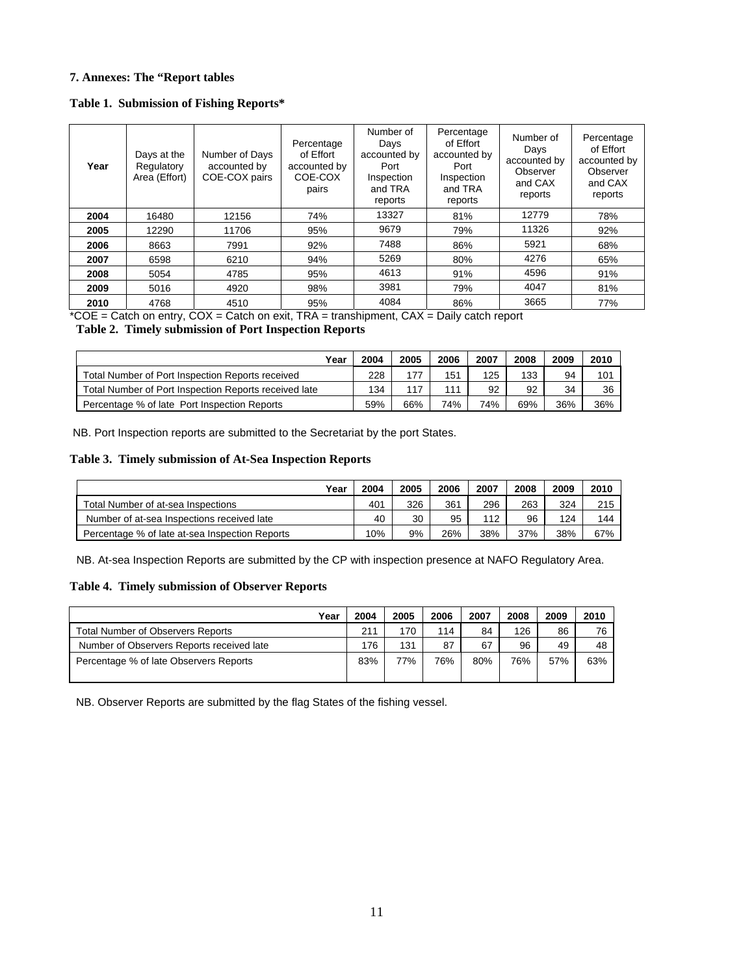#### **7. Annexes: The "Report tables**

|  | Table 1. Submission of Fishing Reports* |  |  |
|--|-----------------------------------------|--|--|
|--|-----------------------------------------|--|--|

| Year | Days at the<br>Regulatory<br>Area (Effort) | Number of Days<br>accounted by<br>COE-COX pairs | Percentage<br>of Effort<br>accounted by<br>COE-COX<br>pairs | Number of<br>Days<br>accounted by<br>Port<br>Inspection<br>and TRA<br>reports | Percentage<br>of Effort<br>accounted by<br>Port<br>Inspection<br>and TRA<br>reports | Number of<br>Days<br>accounted by<br>Observer<br>and CAX<br>reports | Percentage<br>of Effort<br>accounted by<br>Observer<br>and CAX<br>reports |
|------|--------------------------------------------|-------------------------------------------------|-------------------------------------------------------------|-------------------------------------------------------------------------------|-------------------------------------------------------------------------------------|---------------------------------------------------------------------|---------------------------------------------------------------------------|
| 2004 | 16480                                      | 12156                                           | 74%                                                         | 13327                                                                         | 81%                                                                                 | 12779                                                               | 78%                                                                       |
| 2005 | 12290                                      | 11706                                           | 95%                                                         | 9679                                                                          | 79%                                                                                 | 11326                                                               | 92%                                                                       |
| 2006 | 8663                                       | 7991                                            | 92%                                                         | 7488                                                                          | 86%                                                                                 | 5921                                                                | 68%                                                                       |
| 2007 | 6598                                       | 6210                                            | 94%                                                         | 5269                                                                          | 80%                                                                                 | 4276                                                                | 65%                                                                       |
| 2008 | 5054                                       | 4785                                            | 95%                                                         | 4613                                                                          | 91%                                                                                 | 4596                                                                | 91%                                                                       |
| 2009 | 5016                                       | 4920                                            | 98%                                                         | 3981                                                                          | 79%                                                                                 | 4047                                                                | 81%                                                                       |
| 2010 | 4768                                       | 4510                                            | 95%                                                         | 4084                                                                          | 86%                                                                                 | 3665                                                                | 77%                                                                       |

 $*COE =$  Catch on entry,  $COX =$  Catch on exit, TRA = transhipment,  $CAX =$  Daily catch report

## **Table 2. Timely submission of Port Inspection Reports**

| Year                                                  | 2004 | 2005 | 2006 | 2007 | 2008 | 2009 | 2010 |
|-------------------------------------------------------|------|------|------|------|------|------|------|
| Total Number of Port Inspection Reports received      | 228  | 177  | 151  | 125  | 133  | 94   | 101  |
| Total Number of Port Inspection Reports received late | 134  | 117  | 111  | 92   | 92   | 34   | 36   |
| Percentage % of late Port Inspection Reports          | 59%  | 66%  | 74%  | 74%  | 69%  | 36%  | 36%  |

NB. Port Inspection reports are submitted to the Secretariat by the port States.

#### **Table 3. Timely submission of At-Sea Inspection Reports**

| Year                                           | 2004 | 2005 | 2006 | 2007 | 2008 | 2009 | 2010 |
|------------------------------------------------|------|------|------|------|------|------|------|
| Total Number of at-sea Inspections             | 401  | 326  | 361  | 296  | 263  | 324  | 215  |
| Number of at-sea Inspections received late     | 40   | 30   | 95   | 112  | 96   | 124  | 144  |
| Percentage % of late at-sea Inspection Reports | 10%  | 9%   | 26%  | 38%  | 37%  | 38%  | 67%  |

NB. At-sea Inspection Reports are submitted by the CP with inspection presence at NAFO Regulatory Area.

#### **Table 4. Timely submission of Observer Reports**

| Year                                      | 2004 | 2005 | 2006 | 2007 | 2008 | 2009 | 2010 |
|-------------------------------------------|------|------|------|------|------|------|------|
| Total Number of Observers Reports         | 211  | 170  | 114  | 84   | 126  | 86   | 76   |
| Number of Observers Reports received late | 176  | 131  | 87   | 67   | 96   | 49   | 48   |
| Percentage % of late Observers Reports    | 83%  | 77%  | 76%  | 80%  | 76%  | 57%  | 63%  |

NB. Observer Reports are submitted by the flag States of the fishing vessel.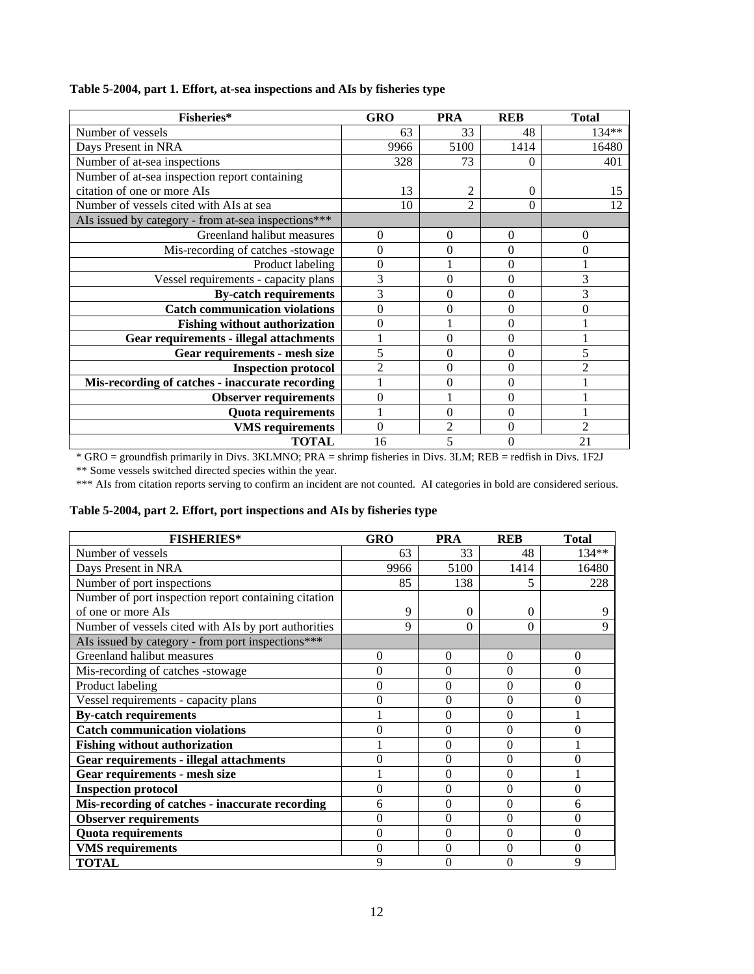| Fisheries*                                          | <b>GRO</b>     | <b>PRA</b>     | <b>REB</b> | <b>Total</b>   |
|-----------------------------------------------------|----------------|----------------|------------|----------------|
| Number of vessels                                   | 63             | 33             | 48         | $134**$        |
| Days Present in NRA                                 | 9966           | 5100           | 1414       | 16480          |
| Number of at-sea inspections                        | 328            | 73             | $\Omega$   | 401            |
| Number of at-sea inspection report containing       |                |                |            |                |
| citation of one or more AIs                         | 13             |                | $\Omega$   | 15             |
| Number of vessels cited with AIs at sea             | 10             | $\overline{2}$ | $\Omega$   | 12             |
| AIs issued by category - from at-sea inspections*** |                |                |            |                |
| Greenland halibut measures                          | 0              | $\overline{0}$ | $\Omega$   | $\theta$       |
| Mis-recording of catches -stowage                   | 0              | 0              |            |                |
| Product labeling                                    | $\theta$       |                | 0          |                |
| Vessel requirements - capacity plans                | 3              | 0              | $\Omega$   | 3              |
| <b>By-catch requirements</b>                        | 3              | $\Omega$       | 0          | 3              |
| <b>Catch communication violations</b>               | $\theta$       | 0              | $\Omega$   | $\Omega$       |
| <b>Fishing without authorization</b>                | 0              |                | 0          |                |
| <b>Gear requirements - illegal attachments</b>      |                | 0              | 0          |                |
| Gear requirements - mesh size                       | 5              | 0              | $\theta$   | 5              |
| <b>Inspection protocol</b>                          | $\mathfrak{D}$ | $\Omega$       | 0          | $\mathfrak{D}$ |
| Mis-recording of catches - inaccurate recording     |                | 0              | $\Omega$   |                |
| <b>Observer requirements</b>                        | 0              |                | 0          |                |
| <b>Quota</b> requirements                           |                | $\Omega$       | 0          |                |
| <b>VMS</b> requirements                             | $\Omega$       | $\overline{c}$ | 0          | $\mathfrak{D}$ |
| <b>TOTAL</b>                                        | 16             | 5              |            | 21             |

## **Table 5-2004, part 1. Effort, at-sea inspections and AIs by fisheries type**

\* GRO = groundfish primarily in Divs. 3KLMNO; PRA = shrimp fisheries in Divs. 3LM; REB = redfish in Divs. 1F2J

\*\* Some vessels switched directed species within the year.

\*\*\* AIs from citation reports serving to confirm an incident are not counted. AI categories in bold are considered serious.

## **Table 5-2004, part 2. Effort, port inspections and AIs by fisheries type**

| <b>FISHERIES*</b>                                    | <b>GRO</b>       | <b>PRA</b> | <b>REB</b>     | <b>Total</b>   |
|------------------------------------------------------|------------------|------------|----------------|----------------|
| Number of vessels                                    | 63               | 33         | 48             | $134**$        |
| Days Present in NRA                                  | 9966             | 5100       | 1414           | 16480          |
| Number of port inspections                           | 85               | 138        | 5              | 228            |
| Number of port inspection report containing citation |                  |            |                |                |
| of one or more AIs                                   | 9                | 0          | $\Omega$       |                |
| Number of vessels cited with AIs by port authorities | 9                | 0          | 0              | 9              |
| AIs issued by category - from port inspections***    |                  |            |                |                |
| Greenland halibut measures                           | $\theta$         | $\theta$   | $\theta$       | 0              |
| Mis-recording of catches -stowage                    | $\theta$         | $\Omega$   | $\theta$       | $\theta$       |
| Product labeling                                     | $\boldsymbol{0}$ | $\Omega$   | $\mathbf{0}$   | $\theta$       |
| Vessel requirements - capacity plans                 | $\boldsymbol{0}$ | $\theta$   | $\mathbf{0}$   | $\overline{0}$ |
| <b>By-catch requirements</b>                         | 1                | $\theta$   | $\theta$       |                |
| <b>Catch communication violations</b>                | $\overline{0}$   | $\Omega$   | $\theta$       | $\theta$       |
| <b>Fishing without authorization</b>                 |                  | $\theta$   | $\mathbf{0}$   |                |
| <b>Gear requirements - illegal attachments</b>       | $\theta$         | $\theta$   | $\theta$       | $\theta$       |
| Gear requirements - mesh size                        |                  | $\Omega$   | $\theta$       |                |
| <b>Inspection protocol</b>                           | $\theta$         | $\Omega$   | $\theta$       | $\theta$       |
| Mis-recording of catches - inaccurate recording      | 6                | $\Omega$   | $\theta$       | 6              |
| <b>Observer requirements</b>                         | $\overline{0}$   | $\Omega$   | $\mathbf{0}$   | 0              |
| <b>Quota requirements</b>                            | $\theta$         | $\Omega$   | $\theta$       | 0              |
| <b>VMS</b> requirements                              | $\overline{0}$   | $\Omega$   | $\theta$       | $\overline{0}$ |
| <b>TOTAL</b>                                         | 9                | $\theta$   | $\overline{0}$ | 9              |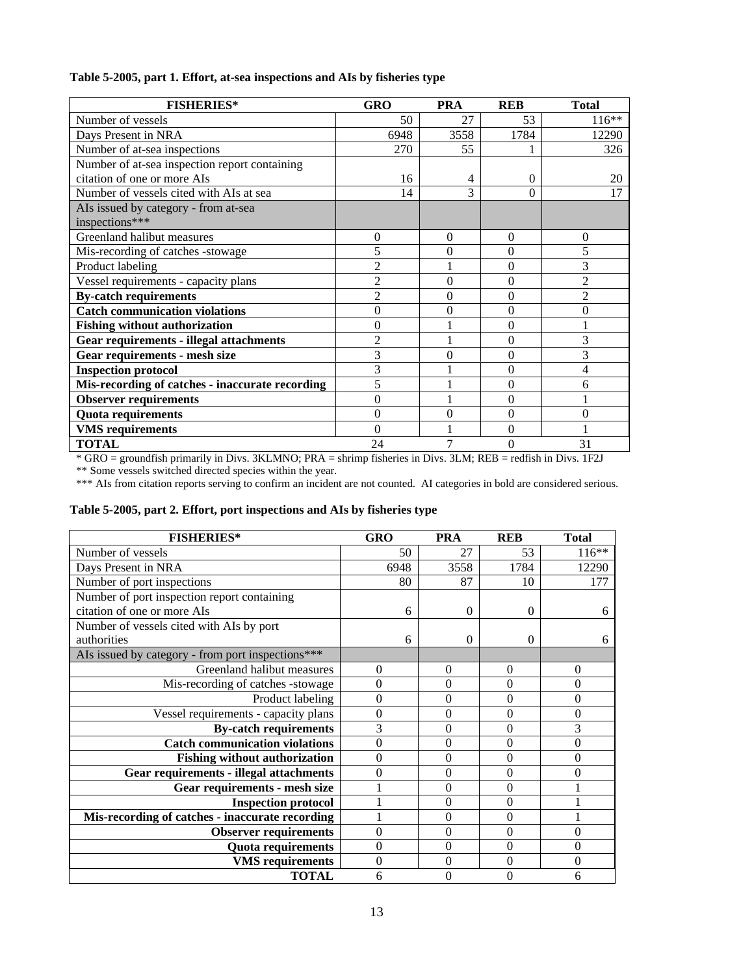| Table 5-2005, part 1. Effort, at-sea inspections and AIs by fisheries type |  |  |  |  |
|----------------------------------------------------------------------------|--|--|--|--|
|----------------------------------------------------------------------------|--|--|--|--|

| <b>FISHERIES*</b>                               | <b>GRO</b>     | <b>PRA</b> | <b>REB</b> | <b>Total</b>   |
|-------------------------------------------------|----------------|------------|------------|----------------|
| Number of vessels                               | 50             | 27         | 53         | $116**$        |
| Days Present in NRA                             | 6948           | 3558       | 1784       | 12290          |
| Number of at-sea inspections                    | 270            | 55         |            | 326            |
| Number of at-sea inspection report containing   |                |            |            |                |
| citation of one or more AIs                     | 16             | 4          | $\Omega$   | 20             |
| Number of vessels cited with AIs at sea         | 14             | 3          | $\Omega$   | 17             |
| AIs issued by category - from at-sea            |                |            |            |                |
| inspections***                                  |                |            |            |                |
| Greenland halibut measures                      | $\theta$       | $\theta$   | $\Omega$   | $\theta$       |
| Mis-recording of catches -stowage               | 5              | $\theta$   | $\Omega$   | 5              |
| Product labeling                                | $\overline{c}$ |            | $\theta$   | 3              |
| Vessel requirements - capacity plans            | $\overline{2}$ | $\theta$   | $\Omega$   | $\overline{2}$ |
| <b>By-catch requirements</b>                    | $\overline{2}$ | $\theta$   | $\Omega$   | $\overline{c}$ |
| <b>Catch communication violations</b>           | $\theta$       | $\theta$   | $\Omega$   | $\theta$       |
| <b>Fishing without authorization</b>            | $\theta$       |            | $\Omega$   |                |
| <b>Gear requirements - illegal attachments</b>  | $\overline{2}$ |            | $\Omega$   | 3              |
| <b>Gear requirements - mesh size</b>            | 3              | $\theta$   | $\Omega$   | 3              |
| <b>Inspection protocol</b>                      | 3              |            | $\theta$   | 4              |
| Mis-recording of catches - inaccurate recording | 5              |            | $\Omega$   | 6              |
| <b>Observer requirements</b>                    | $\theta$       |            | $\Omega$   |                |
| <b>Quota requirements</b>                       | $\theta$       | $\theta$   | $\Omega$   | $\Omega$       |
| <b>VMS</b> requirements                         | 0              |            | 0          |                |
| <b>TOTAL</b>                                    | 24             |            | 0          | 31             |

\* GRO = groundfish primarily in Divs. 3KLMNO; PRA = shrimp fisheries in Divs. 3LM; REB = redfish in Divs. 1F2J

\*\* Some vessels switched directed species within the year.

|  |  |  |  | Table 5-2005, part 2. Effort, port inspections and AIs by fisheries type |
|--|--|--|--|--------------------------------------------------------------------------|
|--|--|--|--|--------------------------------------------------------------------------|

| <b>FISHERIES*</b>                                 | GRO              | <b>PRA</b> | <b>REB</b>       | <b>Total</b>   |
|---------------------------------------------------|------------------|------------|------------------|----------------|
| Number of vessels                                 | 50               | 27         | 53               | $116**$        |
| Days Present in NRA                               | 6948             | 3558       | 1784             | 12290          |
| Number of port inspections                        | 80               | 87         | 10               | 177            |
| Number of port inspection report containing       |                  |            |                  |                |
| citation of one or more AIs                       | 6                | $\Omega$   | $\Omega$         | 6              |
| Number of vessels cited with AIs by port          |                  |            |                  |                |
| authorities                                       | 6                | $\theta$   | $\Omega$         | 6              |
| AIs issued by category - from port inspections*** |                  |            |                  |                |
| Greenland halibut measures                        | $\theta$         | $\theta$   | 0                | $\theta$       |
| Mis-recording of catches -stowage                 | $\theta$         | $\Omega$   | $\theta$         | $\theta$       |
| Product labeling                                  | $\boldsymbol{0}$ | $\Omega$   | $\boldsymbol{0}$ | $\overline{0}$ |
| Vessel requirements - capacity plans              | $\boldsymbol{0}$ | $\Omega$   | $\boldsymbol{0}$ | $\overline{0}$ |
| <b>By-catch requirements</b>                      | 3                | $\Omega$   | $\theta$         | 3              |
| <b>Catch communication violations</b>             | $\overline{0}$   | $\theta$   | $\overline{0}$   | $\theta$       |
| <b>Fishing without authorization</b>              | $\overline{0}$   | $\Omega$   | $\theta$         | $\theta$       |
| <b>Gear requirements - illegal attachments</b>    | $\theta$         | $\Omega$   | $\boldsymbol{0}$ | 0              |
| Gear requirements - mesh size                     |                  | $\Omega$   | $\boldsymbol{0}$ |                |
| <b>Inspection protocol</b>                        |                  | $\Omega$   | $\mathbf{0}$     |                |
| Mis-recording of catches - inaccurate recording   |                  | $\Omega$   | $\theta$         |                |
| <b>Observer requirements</b>                      | $\theta$         | $\Omega$   | $\theta$         | $\theta$       |
| <b>Quota requirements</b>                         | $\theta$         | $\Omega$   | $\theta$         | $\theta$       |
| <b>VMS</b> requirements                           | $\boldsymbol{0}$ | $\Omega$   | $\overline{0}$   | $\mathbf{0}$   |
| <b>TOTAL</b>                                      | 6                | $\theta$   | 0                | 6              |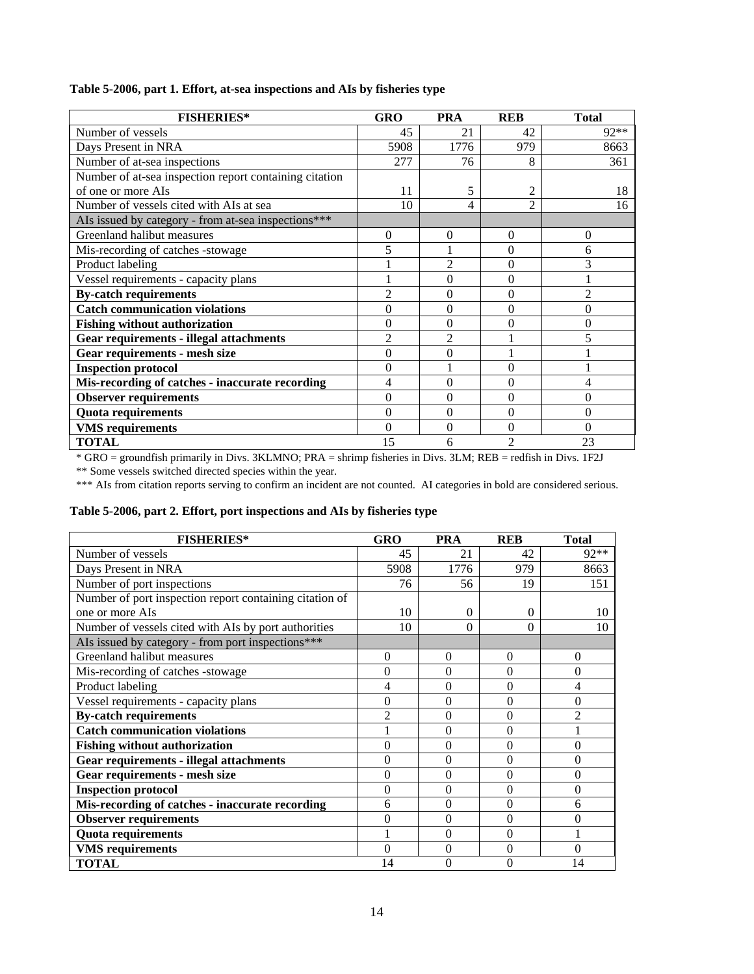| Table 5-2006, part 1. Effort, at-sea inspections and AIs by fisheries type |  |  |  |  |  |  |
|----------------------------------------------------------------------------|--|--|--|--|--|--|
|----------------------------------------------------------------------------|--|--|--|--|--|--|

| <b>FISHERIES*</b>                                      | <b>GRO</b>     | <b>PRA</b>     | <b>REB</b>     | <b>Total</b>   |
|--------------------------------------------------------|----------------|----------------|----------------|----------------|
| Number of vessels                                      | 45             | 21             | 42             | $92**$         |
| Days Present in NRA                                    | 5908           | 1776           | 979            | 8663           |
| Number of at-sea inspections                           | 277            | 76             | 8              | 361            |
| Number of at-sea inspection report containing citation |                |                |                |                |
| of one or more AIs                                     | 11             | 5              | 2              | 18             |
| Number of vessels cited with AIs at sea                | 10             |                | $\mathfrak{D}$ | 16             |
| AIs issued by category - from at-sea inspections***    |                |                |                |                |
| Greenland halibut measures                             | $\overline{0}$ | 0              | $\overline{0}$ | $\theta$       |
| Mis-recording of catches -stowage                      | 5              |                | $\overline{0}$ | 6              |
| Product labeling                                       |                | $\overline{2}$ | $\theta$       | 3              |
| Vessel requirements - capacity plans                   |                | 0              | $\overline{0}$ |                |
| <b>By-catch requirements</b>                           | $\mathfrak{D}$ | 0              | $\overline{0}$ | $\overline{2}$ |
| <b>Catch communication violations</b>                  | 0              | 0              | 0              | $\theta$       |
| <b>Fishing without authorization</b>                   | 0              | $\theta$       | $\overline{0}$ | $\theta$       |
| <b>Gear requirements - illegal attachments</b>         | $\overline{2}$ | $\overline{c}$ |                | 5              |
| Gear requirements - mesh size                          | 0              | $\overline{0}$ |                |                |
| <b>Inspection protocol</b>                             | 0              |                | $\theta$       |                |
| Mis-recording of catches - inaccurate recording        | 4              | $\theta$       | $\theta$       | 4              |
| <b>Observer requirements</b>                           | 0              | $\theta$       | $\theta$       | $\theta$       |
| <b>Quota requirements</b>                              | 0              | $\theta$       | $\theta$       | $\theta$       |
| <b>VMS</b> requirements                                | 0              | $\theta$       | $\theta$       | $\theta$       |
| <b>TOTAL</b>                                           | 15             | 6              | $\mathfrak{D}$ | 23             |

\* GRO = groundfish primarily in Divs. 3KLMNO; PRA = shrimp fisheries in Divs. 3LM; REB = redfish in Divs. 1F2J

\*\* Some vessels switched directed species within the year.

\*\*\* AIs from citation reports serving to confirm an incident are not counted. AI categories in bold are considered serious.

## **Table 5-2006, part 2. Effort, port inspections and AIs by fisheries type**

| <b>FISHERIES*</b>                                       | <b>GRO</b>       | <b>PRA</b>     | <b>REB</b>     | <b>Total</b>   |
|---------------------------------------------------------|------------------|----------------|----------------|----------------|
| Number of vessels                                       | 45               | 21             | 42             | $92**$         |
| Days Present in NRA                                     | 5908             | 1776           | 979            | 8663           |
| Number of port inspections                              | 76               | 56             | 19             | 151            |
| Number of port inspection report containing citation of |                  |                |                |                |
| one or more AIs                                         | 10               | $\theta$       | $\Omega$       | 10             |
| Number of vessels cited with AIs by port authorities    | 10               | $\Omega$       | 0              | 10             |
| AIs issued by category - from port inspections***       |                  |                |                |                |
| Greenland halibut measures                              | 0                | $\overline{0}$ | $\theta$       | $\theta$       |
| Mis-recording of catches -stowage                       | $\theta$         | $\Omega$       | $\mathbf{0}$   | $\overline{0}$ |
| Product labeling                                        | 4                | $\Omega$       | $\mathbf{0}$   | 4              |
| Vessel requirements - capacity plans                    | $\overline{0}$   | $\mathbf{0}$   | $\overline{0}$ | $\overline{0}$ |
| <b>By-catch requirements</b>                            | $\overline{c}$   | $\theta$       | $\mathbf{0}$   | $\overline{2}$ |
| <b>Catch communication violations</b>                   |                  | $\Omega$       | $\mathbf{0}$   |                |
| <b>Fishing without authorization</b>                    | $\boldsymbol{0}$ | $\theta$       | $\mathbf{0}$   | $\mathbf{0}$   |
| <b>Gear requirements - illegal attachments</b>          | $\theta$         | $\theta$       | $\theta$       | $\theta$       |
| Gear requirements - mesh size                           | $\theta$         | $\Omega$       | $\theta$       | $\theta$       |
| <b>Inspection protocol</b>                              | $\theta$         | $\Omega$       | $\mathbf{0}$   | $\mathbf{0}$   |
| Mis-recording of catches - inaccurate recording         | 6                | $\Omega$       | $\theta$       | 6              |
| <b>Observer requirements</b>                            | $\theta$         | $\theta$       | $\mathbf{0}$   | $\theta$       |
| <b>Quota requirements</b>                               |                  | $\Omega$       | $\theta$       |                |
| <b>VMS</b> requirements                                 | $\theta$         | $\Omega$       | $\mathbf{0}$   | $\theta$       |
| <b>TOTAL</b>                                            | 14               | $\theta$       | $\overline{0}$ | 14             |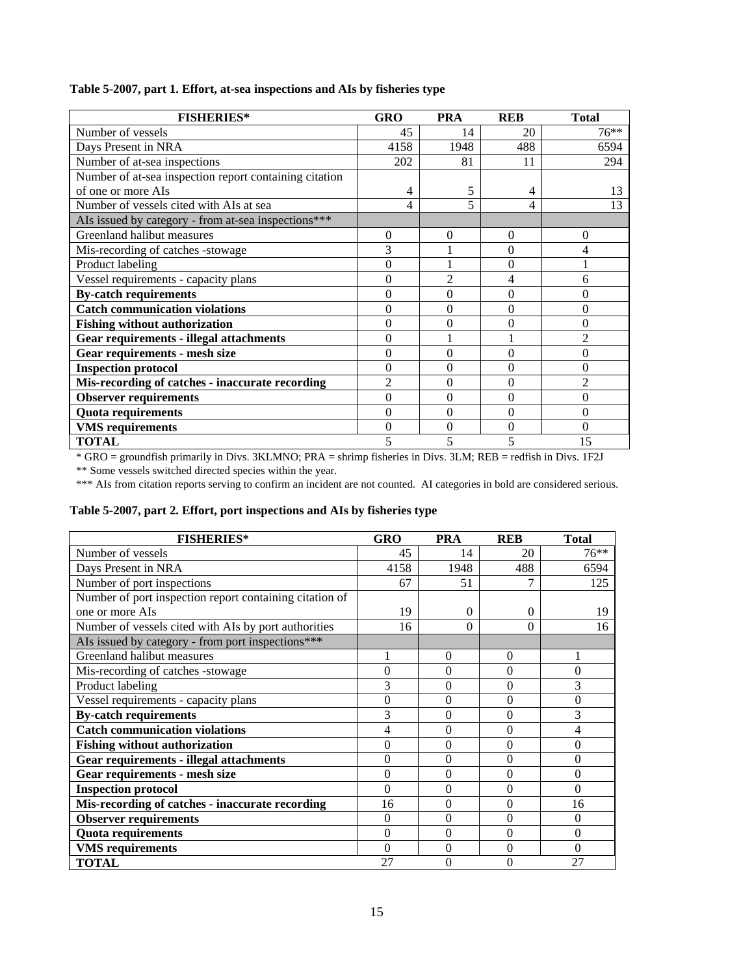|  |  | Table 5-2007, part 1. Effort, at-sea inspections and AIs by fisheries type |
|--|--|----------------------------------------------------------------------------|
|  |  |                                                                            |

| <b>FISHERIES*</b>                                      | GRO            | <b>PRA</b>     | <b>REB</b> | <b>Total</b>   |
|--------------------------------------------------------|----------------|----------------|------------|----------------|
| Number of vessels                                      | 45             | 14             | 20         | $76***$        |
| Days Present in NRA                                    | 4158           | 1948           | 488        | 6594           |
| Number of at-sea inspections                           | 202            | 81             | 11         | 294            |
| Number of at-sea inspection report containing citation |                |                |            |                |
| of one or more AIs                                     | 4              | 5              | 4          | 13             |
| Number of vessels cited with AIs at sea                |                | 5              | 4          | 13             |
| AIs issued by category - from at-sea inspections***    |                |                |            |                |
| Greenland halibut measures                             | $\overline{0}$ | $\overline{0}$ | $\Omega$   | $\overline{0}$ |
| Mis-recording of catches -stowage                      | 3              |                | $\Omega$   | 4              |
| Product labeling                                       | $\theta$       |                | $\Omega$   |                |
| Vessel requirements - capacity plans                   | $\theta$       | $\overline{2}$ | 4          | 6              |
| <b>By-catch requirements</b>                           | $\theta$       | $\theta$       | $\Omega$   | $\Omega$       |
| <b>Catch communication violations</b>                  | $\overline{0}$ | $\Omega$       | $\Omega$   | $\theta$       |
| <b>Fishing without authorization</b>                   | $\theta$       | $\theta$       | $\Omega$   | $\theta$       |
| <b>Gear requirements - illegal attachments</b>         | $\theta$       |                |            | $\overline{c}$ |
| Gear requirements - mesh size                          | $\theta$       | $\theta$       | $\Omega$   | $\theta$       |
| <b>Inspection protocol</b>                             | $\theta$       | $\Omega$       | $\Omega$   | $\Omega$       |
| Mis-recording of catches - inaccurate recording        | $\overline{2}$ | $\Omega$       | $\Omega$   | $\overline{2}$ |
| <b>Observer requirements</b>                           | $\theta$       | $\theta$       | $\Omega$   | $\theta$       |
| <b>Quota requirements</b>                              | $\theta$       | $\theta$       | $\Omega$   | $\theta$       |
| <b>VMS</b> requirements                                | $\theta$       | 0              | $\Omega$   | $\Omega$       |
| <b>TOTAL</b>                                           | 5              |                |            | 15             |

\* GRO = groundfish primarily in Divs. 3KLMNO; PRA = shrimp fisheries in Divs. 3LM; REB = redfish in Divs. 1F2J

\*\* Some vessels switched directed species within the year.

| Table 5-2007, part 2. Effort, port inspections and AIs by fisheries type |  |  |
|--------------------------------------------------------------------------|--|--|
|--------------------------------------------------------------------------|--|--|

| <b>FISHERIES*</b>                                       | <b>GRO</b>     | <b>PRA</b>   | <b>REB</b>   | <b>Total</b>   |
|---------------------------------------------------------|----------------|--------------|--------------|----------------|
| Number of vessels                                       | 45             | 14           | 20           | $76***$        |
| Days Present in NRA                                     | 4158           | 1948         | 488          | 6594           |
| Number of port inspections                              | 67             | 51           | 7            | 125            |
| Number of port inspection report containing citation of |                |              |              |                |
| one or more AIs                                         | 19             | $\Omega$     | $\Omega$     | 19             |
| Number of vessels cited with AIs by port authorities    | 16             | 0            | 0            | 16             |
| AIs issued by category - from port inspections***       |                |              |              |                |
| Greenland halibut measures                              |                | $\Omega$     | $\theta$     |                |
| Mis-recording of catches -stowage                       | $\overline{0}$ | $\Omega$     | $\theta$     | $\overline{0}$ |
| Product labeling                                        | 3              | $\Omega$     | $\theta$     | 3              |
| Vessel requirements - capacity plans                    | $\overline{0}$ | $\Omega$     | $\theta$     | $\overline{0}$ |
| <b>By-catch requirements</b>                            | 3              | $\Omega$     | $\theta$     | 3              |
| <b>Catch communication violations</b>                   | 4              | $\Omega$     | $\theta$     | 4              |
| <b>Fishing without authorization</b>                    | $\theta$       | $\theta$     | $\theta$     | $\theta$       |
| <b>Gear requirements - illegal attachments</b>          | $\theta$       | $\Omega$     | $\theta$     | $\theta$       |
| Gear requirements - mesh size                           | $\theta$       | $\theta$     | $\theta$     | $\theta$       |
| <b>Inspection protocol</b>                              | $\theta$       | $\mathbf{0}$ | $\theta$     | $\theta$       |
| Mis-recording of catches - inaccurate recording         | 16             | $\Omega$     | $\theta$     | 16             |
| <b>Observer requirements</b>                            | $\theta$       | $\Omega$     | $\mathbf{0}$ | $\Omega$       |
| <b>Quota requirements</b>                               | $\theta$       | $\Omega$     | $\theta$     | $\theta$       |
| <b>VMS</b> requirements                                 | $\theta$       | $\Omega$     | $\mathbf{0}$ | $\Omega$       |
| <b>TOTAL</b>                                            | 27             | $\theta$     | $\Omega$     | 27             |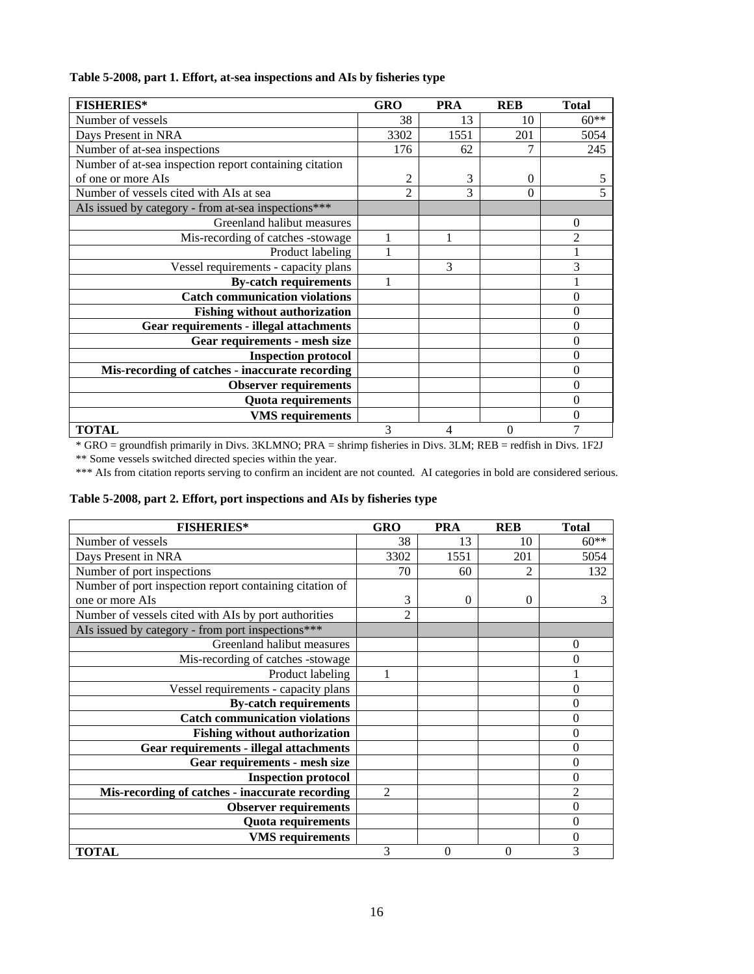| Table 5-2008, part 1. Effort, at-sea inspections and AIs by fisheries type |  |  |  |  |
|----------------------------------------------------------------------------|--|--|--|--|
|----------------------------------------------------------------------------|--|--|--|--|

| <b>FISHERIES*</b>                                      | <b>GRO</b>     | <b>PRA</b> | <b>REB</b> | <b>Total</b>   |
|--------------------------------------------------------|----------------|------------|------------|----------------|
| Number of vessels                                      | 38             | 13         | 10         | $60**$         |
| Days Present in NRA                                    | 3302           | 1551       | 201        | 5054           |
| Number of at-sea inspections                           | 176            | 62         |            | 245            |
| Number of at-sea inspection report containing citation |                |            |            |                |
| of one or more AIs                                     | 2              | 3          | $\Omega$   | 5              |
| Number of vessels cited with AIs at sea                | $\overline{c}$ | 3          | $\Omega$   |                |
| AIs issued by category - from at-sea inspections***    |                |            |            |                |
| Greenland halibut measures                             |                |            |            | $\overline{0}$ |
| Mis-recording of catches -stowage                      | 1              | 1          |            | $\mathfrak{D}$ |
| Product labeling                                       |                |            |            |                |
| Vessel requirements - capacity plans                   |                | 3          |            | 3              |
| <b>By-catch requirements</b>                           |                |            |            |                |
| <b>Catch communication violations</b>                  |                |            |            | $\theta$       |
| <b>Fishing without authorization</b>                   |                |            |            | 0              |
| <b>Gear requirements - illegal attachments</b>         |                |            |            | 0              |
| Gear requirements - mesh size                          |                |            |            | $\overline{0}$ |
| <b>Inspection protocol</b>                             |                |            |            | 0              |
| Mis-recording of catches - inaccurate recording        |                |            |            | $\overline{0}$ |
| <b>Observer requirements</b>                           |                |            |            | 0              |
| <b>Quota requirements</b>                              |                |            |            | $\theta$       |
| <b>VMS</b> requirements                                |                |            |            | 0              |
| <b>TOTAL</b>                                           | 3              | 4          | $\theta$   | 7              |

\* GRO = groundfish primarily in Divs. 3KLMNO; PRA = shrimp fisheries in Divs. 3LM; REB = redfish in Divs. 1F2J \*\* Some vessels switched directed species within the year.

| Table 5-2008, part 2. Effort, port inspections and AIs by fisheries type |  |  |  |  |
|--------------------------------------------------------------------------|--|--|--|--|
|--------------------------------------------------------------------------|--|--|--|--|

| <b>FISHERIES*</b>                                       | <b>GRO</b>     | <b>PRA</b> | <b>REB</b> | <b>Total</b>     |
|---------------------------------------------------------|----------------|------------|------------|------------------|
| Number of vessels                                       | 38             | 13         | 10         | $60**$           |
| Days Present in NRA                                     | 3302           | 1551       | 201        | 5054             |
| Number of port inspections                              | 70             | 60         | 2          | 132              |
| Number of port inspection report containing citation of |                |            |            |                  |
| one or more AIs                                         | 3              | 0          | $\Omega$   | 3                |
| Number of vessels cited with AIs by port authorities    | $\overline{2}$ |            |            |                  |
| AIs issued by category - from port inspections***       |                |            |            |                  |
| Greenland halibut measures                              |                |            |            | $\overline{0}$   |
| Mis-recording of catches -stowage                       |                |            |            | 0                |
| Product labeling                                        | 1              |            |            |                  |
| Vessel requirements - capacity plans                    |                |            |            | 0                |
| <b>By-catch requirements</b>                            |                |            |            | 0                |
| <b>Catch communication violations</b>                   |                |            |            | 0                |
| <b>Fishing without authorization</b>                    |                |            |            | 0                |
| <b>Gear requirements - illegal attachments</b>          |                |            |            | 0                |
| <b>Gear requirements - mesh size</b>                    |                |            |            | 0                |
| <b>Inspection protocol</b>                              |                |            |            | 0                |
| Mis-recording of catches - inaccurate recording         | $\mathfrak{D}$ |            |            | $\overline{c}$   |
| <b>Observer requirements</b>                            |                |            |            | 0                |
| <b>Quota requirements</b>                               |                |            |            | $\theta$         |
| <b>VMS</b> requirements                                 |                |            |            | $\boldsymbol{0}$ |
| <b>TOTAL</b>                                            | 3              | $\theta$   | 0          | 3                |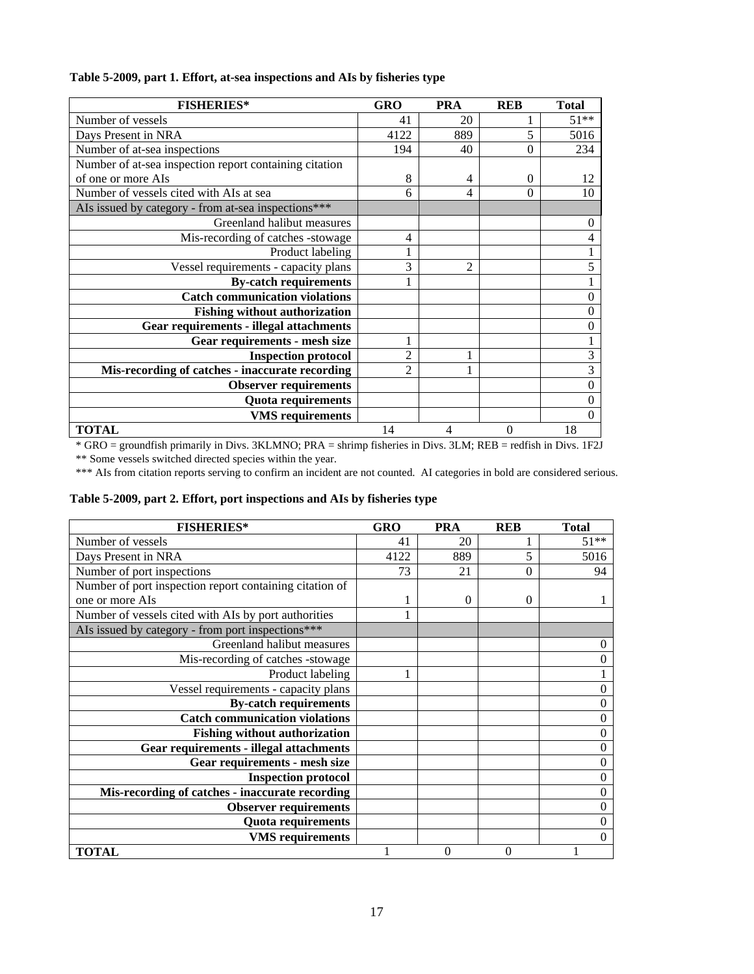| <b>FISHERIES*</b>                                      | <b>GRO</b>     | <b>PRA</b>     | <b>REB</b>     | <b>Total</b> |
|--------------------------------------------------------|----------------|----------------|----------------|--------------|
| Number of vessels                                      | 41             | 20             |                | $51**$       |
| Days Present in NRA                                    | 4122           | 889            | 5              | 5016         |
| Number of at-sea inspections                           | 194            | 40             | $\theta$       | 234          |
| Number of at-sea inspection report containing citation |                |                |                |              |
| of one or more AIs                                     | 8              | 4              | 0              | 12           |
| Number of vessels cited with AIs at sea                | 6              | 4              | $\theta$       | 10           |
| AIs issued by category - from at-sea inspections***    |                |                |                |              |
| Greenland halibut measures                             |                |                |                |              |
| Mis-recording of catches -stowage                      | 4              |                |                |              |
| Product labeling                                       |                |                |                |              |
| Vessel requirements - capacity plans                   | 3              | $\overline{2}$ |                | 5            |
| <b>By-catch requirements</b>                           |                |                |                |              |
| <b>Catch communication violations</b>                  |                |                |                | 0            |
| <b>Fishing without authorization</b>                   |                |                |                | 0            |
| <b>Gear requirements - illegal attachments</b>         |                |                |                | 0            |
| Gear requirements - mesh size                          | 1              |                |                |              |
| <b>Inspection protocol</b>                             | $\overline{2}$ |                |                | 3            |
| Mis-recording of catches - inaccurate recording        | $\mathfrak{D}$ |                |                | 3            |
| <b>Observer requirements</b>                           |                |                |                | 0            |
| Quota requirements                                     |                |                |                | 0            |
| <b>VMS</b> requirements                                |                |                |                | 0            |
| <b>TOTAL</b>                                           | 14             | 4              | $\overline{0}$ | 18           |

## **Table 5-2009, part 1. Effort, at-sea inspections and AIs by fisheries type**

\* GRO = groundfish primarily in Divs. 3KLMNO; PRA = shrimp fisheries in Divs. 3LM; REB = redfish in Divs. 1F2J \*\* Some vessels switched directed species within the year.

\*\*\* AIs from citation reports serving to confirm an incident are not counted. AI categories in bold are considered serious.

## **Table 5-2009, part 2. Effort, port inspections and AIs by fisheries type**

| <b>FISHERIES*</b>                                       | <b>GRO</b> | <b>PRA</b> | <b>REB</b> | <b>Total</b> |
|---------------------------------------------------------|------------|------------|------------|--------------|
| Number of vessels                                       | 41         | 20         |            | $51**$       |
| Days Present in NRA                                     | 4122       | 889        | 5          | 5016         |
| Number of port inspections                              | 73         | 21         | $\Omega$   | 94           |
| Number of port inspection report containing citation of |            |            |            |              |
| one or more AIs                                         |            | 0          | 0          |              |
| Number of vessels cited with AIs by port authorities    |            |            |            |              |
| AIs issued by category - from port inspections***       |            |            |            |              |
| Greenland halibut measures                              |            |            |            | 0            |
| Mis-recording of catches -stowage                       |            |            |            | 0            |
| Product labeling                                        |            |            |            |              |
| Vessel requirements - capacity plans                    |            |            |            | 0            |
| <b>By-catch requirements</b>                            |            |            |            | 0            |
| <b>Catch communication violations</b>                   |            |            |            | 0            |
| <b>Fishing without authorization</b>                    |            |            |            | 0            |
| <b>Gear requirements - illegal attachments</b>          |            |            |            | 0            |
| Gear requirements - mesh size                           |            |            |            | 0            |
| <b>Inspection protocol</b>                              |            |            |            | 0            |
| Mis-recording of catches - inaccurate recording         |            |            |            | 0            |
| <b>Observer requirements</b>                            |            |            |            | 0            |
| <b>Quota requirements</b>                               |            |            |            | 0            |
| <b>VMS</b> requirements                                 |            |            |            | 0            |
| <b>TOTAL</b>                                            |            | 0          | 0          |              |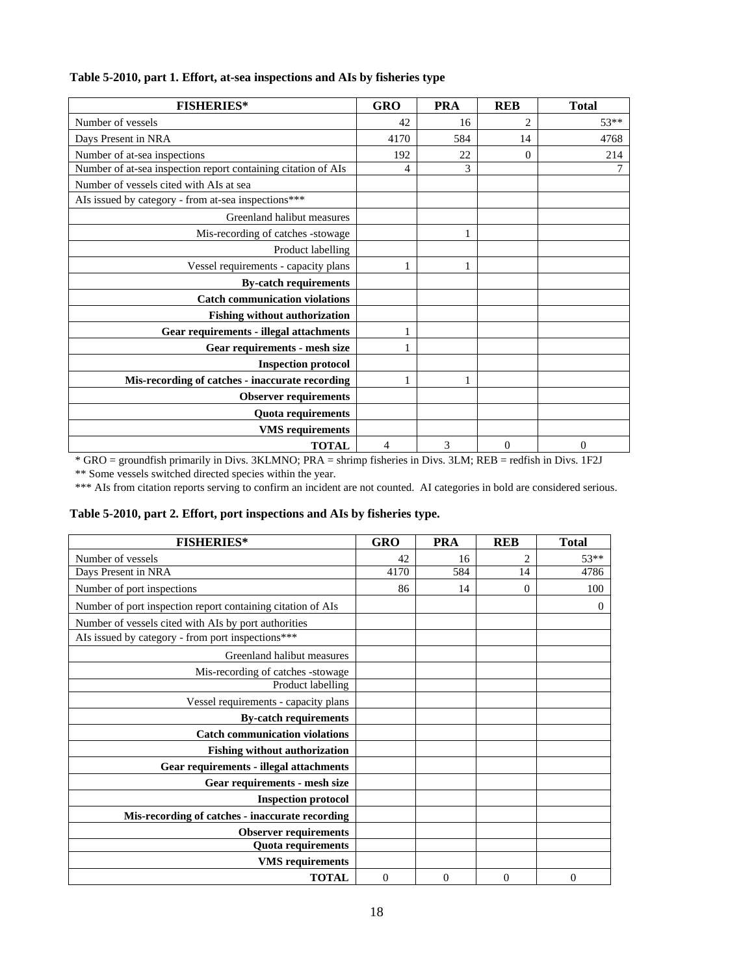| <b>FISHERIES*</b>                                             | <b>GRO</b> | <b>PRA</b> | <b>REB</b>     | <b>Total</b>   |
|---------------------------------------------------------------|------------|------------|----------------|----------------|
| Number of vessels                                             | 42         | 16         | $\overline{c}$ | 53**           |
| Days Present in NRA                                           | 4170       | 584        | 14             | 4768           |
| Number of at-sea inspections                                  | 192        | 22         | $\Omega$       | 214            |
| Number of at-sea inspection report containing citation of AIs | 4          | 3          |                | 7              |
| Number of vessels cited with AIs at sea                       |            |            |                |                |
| AIs issued by category - from at-sea inspections***           |            |            |                |                |
| Greenland halibut measures                                    |            |            |                |                |
| Mis-recording of catches -stowage                             |            |            |                |                |
| Product labelling                                             |            |            |                |                |
| Vessel requirements - capacity plans                          | 1          | 1          |                |                |
| <b>By-catch requirements</b>                                  |            |            |                |                |
| <b>Catch communication violations</b>                         |            |            |                |                |
| <b>Fishing without authorization</b>                          |            |            |                |                |
| Gear requirements - illegal attachments                       |            |            |                |                |
| Gear requirements - mesh size                                 |            |            |                |                |
| <b>Inspection protocol</b>                                    |            |            |                |                |
| Mis-recording of catches - inaccurate recording               |            |            |                |                |
| <b>Observer requirements</b>                                  |            |            |                |                |
| Quota requirements                                            |            |            |                |                |
| <b>VMS</b> requirements                                       |            |            |                |                |
| <b>TOTAL</b>                                                  | 4          | 3          | $\Omega$       | $\overline{0}$ |

## **Table 5-2010, part 1. Effort, at-sea inspections and AIs by fisheries type**

\* GRO = groundfish primarily in Divs. 3KLMNO; PRA = shrimp fisheries in Divs. 3LM; REB = redfish in Divs. 1F2J

\*\* Some vessels switched directed species within the year.

|  |  |  |  | Table 5-2010, part 2. Effort, port inspections and AIs by fisheries type. |
|--|--|--|--|---------------------------------------------------------------------------|
|--|--|--|--|---------------------------------------------------------------------------|

| <b>FISHERIES*</b>                                           | <b>GRO</b>     | <b>PRA</b> | <b>REB</b>     | <b>Total</b>   |
|-------------------------------------------------------------|----------------|------------|----------------|----------------|
| Number of vessels                                           | 42             | 16         | $\mathfrak{D}$ | $53**$         |
| Days Present in NRA                                         | 4170           | 584        | 14             | 4786           |
| Number of port inspections                                  | 86             | 14         | $\mathbf{0}$   | 100            |
| Number of port inspection report containing citation of AIs |                |            |                | $\overline{0}$ |
| Number of vessels cited with AIs by port authorities        |                |            |                |                |
| AIs issued by category - from port inspections***           |                |            |                |                |
| Greenland halibut measures                                  |                |            |                |                |
| Mis-recording of catches -stowage                           |                |            |                |                |
| Product labelling                                           |                |            |                |                |
| Vessel requirements - capacity plans                        |                |            |                |                |
| <b>By-catch requirements</b>                                |                |            |                |                |
| <b>Catch communication violations</b>                       |                |            |                |                |
| <b>Fishing without authorization</b>                        |                |            |                |                |
| <b>Gear requirements - illegal attachments</b>              |                |            |                |                |
| Gear requirements - mesh size                               |                |            |                |                |
| <b>Inspection protocol</b>                                  |                |            |                |                |
| Mis-recording of catches - inaccurate recording             |                |            |                |                |
| <b>Observer requirements</b>                                |                |            |                |                |
| <b>Quota requirements</b>                                   |                |            |                |                |
| <b>VMS</b> requirements                                     |                |            |                |                |
| <b>TOTAL</b>                                                | $\overline{0}$ | $\theta$   | $\overline{0}$ | $\overline{0}$ |